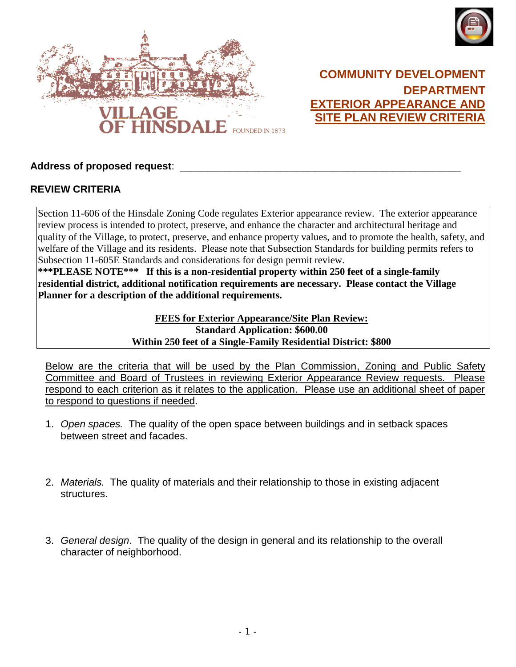



## **COMMUNITY DEVELOPMENT DEPARTMENT EXTERIOR APPEARANCE AND SITE PLAN REVIEW CRITERIA**

## **Address of proposed request**: \_\_\_\_\_\_\_\_\_\_\_\_\_\_\_\_\_\_\_\_\_\_\_\_\_\_\_\_\_\_\_\_\_\_\_\_\_\_\_\_\_\_\_\_\_\_\_\_\_\_

## **REVIEW CRITERIA**

Section 11-606 of the Hinsdale Zoning Code regulates Exterior appearance review. The exterior appearance review process is intended to protect, preserve, and enhance the character and architectural heritage and quality of the Village, to protect, preserve, and enhance property values, and to promote the health, safety, and welfare of the Village and its residents. Please note that Subsection Standards for building permits refers to Subsection 11-605E Standards and considerations for design permit review.

**\*\*\*PLEASE NOTE\*\*\* If this is a non-residential property within 250 feet of a single-family residential district, additional notification requirements are necessary. Please contact the Village Planner for a description of the additional requirements.**

> **FEES for Exterior Appearance/Site Plan Review: Standard Application: \$600.00 Within 250 feet of a Single-Family Residential District: \$800**

Below are the criteria that will be used by the Plan Commission, Zoning and Public Safety Committee and Board of Trustees in reviewing Exterior Appearance Review requests. Please respond to each criterion as it relates to the application. Please use an additional sheet of paper to respond to questions if needed.

- 1. *Open spaces.* The quality of the open space between buildings and in setback spaces between street and facades.
- 2. *Materials.* The quality of materials and their relationship to those in existing adjacent structures.
- 3. *General design*. The quality of the design in general and its relationship to the overall character of neighborhood.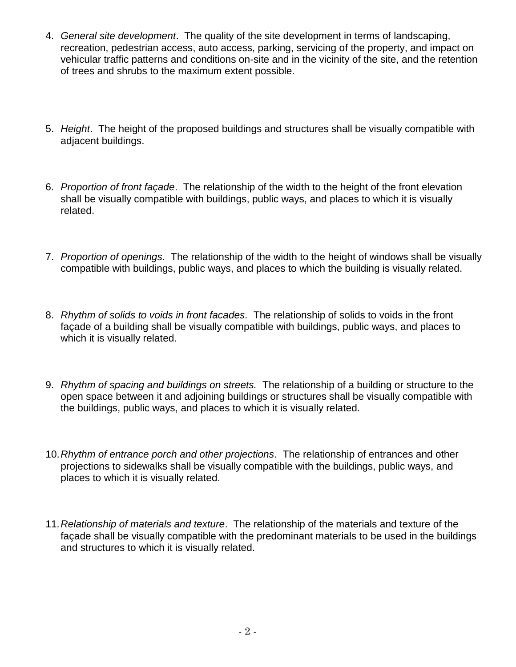- 4. *General site development*. The quality of the site development in terms of landscaping, recreation, pedestrian access, auto access, parking, servicing of the property, and impact on vehicular traffic patterns and conditions on-site and in the vicinity of the site, and the retention of trees and shrubs to the maximum extent possible.
- 5. *Height*. The height of the proposed buildings and structures shall be visually compatible with adjacent buildings.
- 6. *Proportion of front façade*. The relationship of the width to the height of the front elevation shall be visually compatible with buildings, public ways, and places to which it is visually related.
- 7. *Proportion of openings.* The relationship of the width to the height of windows shall be visually compatible with buildings, public ways, and places to which the building is visually related.
- 8. *Rhythm of solids to voids in front facades.* The relationship of solids to voids in the front façade of a building shall be visually compatible with buildings, public ways, and places to which it is visually related.
- 9. *Rhythm of spacing and buildings on streets.* The relationship of a building or structure to the open space between it and adjoining buildings or structures shall be visually compatible with the buildings, public ways, and places to which it is visually related.
- 10.*Rhythm of entrance porch and other projections*. The relationship of entrances and other projections to sidewalks shall be visually compatible with the buildings, public ways, and places to which it is visually related.
- 11.*Relationship of materials and texture*. The relationship of the materials and texture of the façade shall be visually compatible with the predominant materials to be used in the buildings and structures to which it is visually related.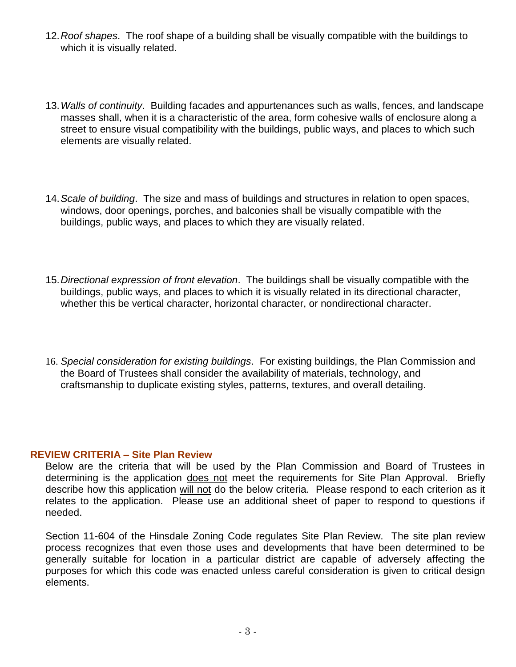- 12.*Roof shapes*. The roof shape of a building shall be visually compatible with the buildings to which it is visually related.
- 13.*Walls of continuity*. Building facades and appurtenances such as walls, fences, and landscape masses shall, when it is a characteristic of the area, form cohesive walls of enclosure along a street to ensure visual compatibility with the buildings, public ways, and places to which such elements are visually related.
- 14.*Scale of building*. The size and mass of buildings and structures in relation to open spaces, windows, door openings, porches, and balconies shall be visually compatible with the buildings, public ways, and places to which they are visually related.
- 15.*Directional expression of front elevation*. The buildings shall be visually compatible with the buildings, public ways, and places to which it is visually related in its directional character, whether this be vertical character, horizontal character, or nondirectional character.
- 16. *Special consideration for existing buildings*. For existing buildings, the Plan Commission and the Board of Trustees shall consider the availability of materials, technology, and craftsmanship to duplicate existing styles, patterns, textures, and overall detailing.

## **REVIEW CRITERIA – Site Plan Review**

Below are the criteria that will be used by the Plan Commission and Board of Trustees in determining is the application does not meet the requirements for Site Plan Approval. Briefly describe how this application will not do the below criteria. Please respond to each criterion as it relates to the application. Please use an additional sheet of paper to respond to questions if needed.

Section 11-604 of the Hinsdale Zoning Code regulates Site Plan Review. The site plan review process recognizes that even those uses and developments that have been determined to be generally suitable for location in a particular district are capable of adversely affecting the purposes for which this code was enacted unless careful consideration is given to critical design elements.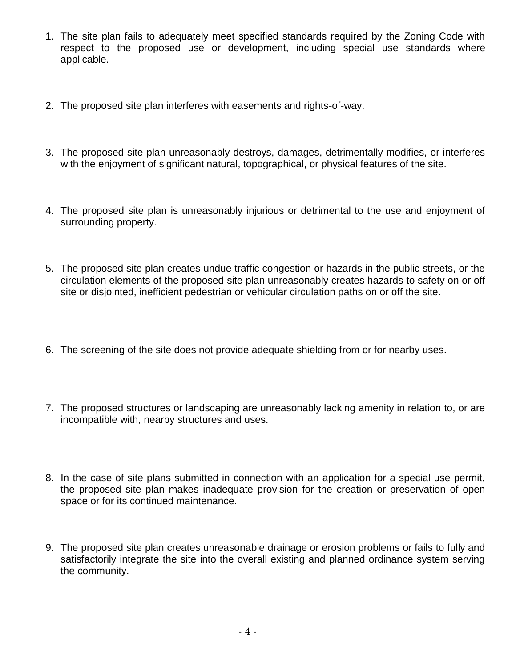- 1. The site plan fails to adequately meet specified standards required by the Zoning Code with respect to the proposed use or development, including special use standards where applicable.
- 2. The proposed site plan interferes with easements and rights-of-way.
- 3. The proposed site plan unreasonably destroys, damages, detrimentally modifies, or interferes with the enjoyment of significant natural, topographical, or physical features of the site.
- 4. The proposed site plan is unreasonably injurious or detrimental to the use and enjoyment of surrounding property.
- 5. The proposed site plan creates undue traffic congestion or hazards in the public streets, or the circulation elements of the proposed site plan unreasonably creates hazards to safety on or off site or disjointed, inefficient pedestrian or vehicular circulation paths on or off the site.
- 6. The screening of the site does not provide adequate shielding from or for nearby uses.
- 7. The proposed structures or landscaping are unreasonably lacking amenity in relation to, or are incompatible with, nearby structures and uses.
- 8. In the case of site plans submitted in connection with an application for a special use permit, the proposed site plan makes inadequate provision for the creation or preservation of open space or for its continued maintenance.
- 9. The proposed site plan creates unreasonable drainage or erosion problems or fails to fully and satisfactorily integrate the site into the overall existing and planned ordinance system serving the community.